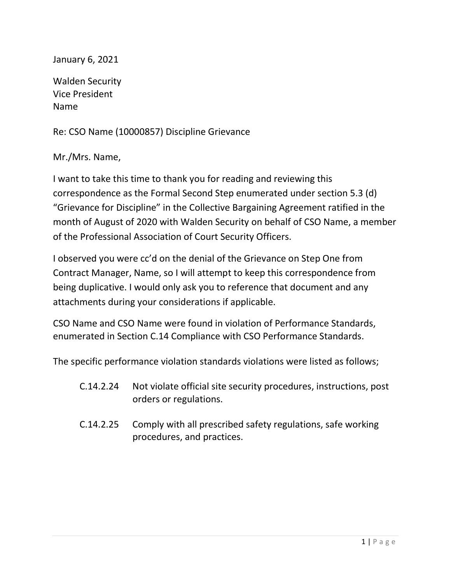## January 6, 2021

Walden Security Vice President Name

Re: CSO Name (10000857) Discipline Grievance

Mr./Mrs. Name,

I want to take this time to thank you for reading and reviewing this correspondence as the Formal Second Step enumerated under section 5.3 (d) "Grievance for Discipline" in the Collective Bargaining Agreement ratified in the month of August of 2020 with Walden Security on behalf of CSO Name, a member of the Professional Association of Court Security Officers.

I observed you were cc'd on the denial of the Grievance on Step One from Contract Manager, Name, so I will attempt to keep this correspondence from being duplicative. I would only ask you to reference that document and any attachments during your considerations if applicable.

CSO Name and CSO Name were found in violation of Performance Standards, enumerated in Section C.14 Compliance with CSO Performance Standards.

The specific performance violation standards violations were listed as follows;

- C.14.2.24 Not violate official site security procedures, instructions, post orders or regulations.
- C.14.2.25 Comply with all prescribed safety regulations, safe working procedures, and practices.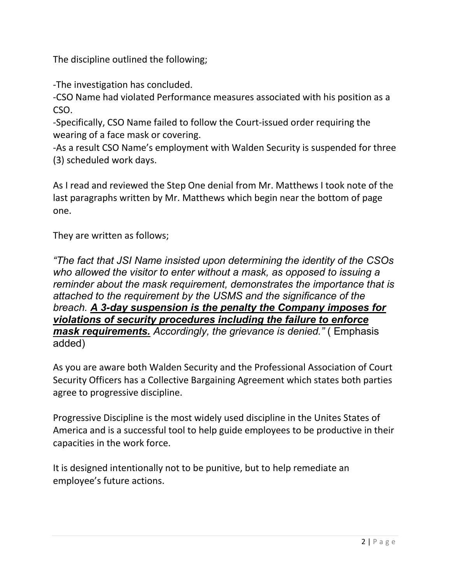The discipline outlined the following;

-The investigation has concluded.

-CSO Name had violated Performance measures associated with his position as a CSO.

-Specifically, CSO Name failed to follow the Court-issued order requiring the wearing of a face mask or covering.

-As a result CSO Name's employment with Walden Security is suspended for three (3) scheduled work days.

As I read and reviewed the Step One denial from Mr. Matthews I took note of the last paragraphs written by Mr. Matthews which begin near the bottom of page one.

They are written as follows;

"The fact that JSI Name insisted upon determining the identity of the CSOs who allowed the visitor to enter without a mask, as opposed to issuing a reminder about the mask requirement, demonstrates the importance that is attached to the requirement by the USMS and the significance of the breach. A 3-day suspension is the penalty the Company imposes for violations of security procedures including the failure to enforce mask requirements. Accordingly, the grievance is denied." (Emphasis added)

As you are aware both Walden Security and the Professional Association of Court Security Officers has a Collective Bargaining Agreement which states both parties agree to progressive discipline.

Progressive Discipline is the most widely used discipline in the Unites States of America and is a successful tool to help guide employees to be productive in their capacities in the work force.

It is designed intentionally not to be punitive, but to help remediate an employee's future actions.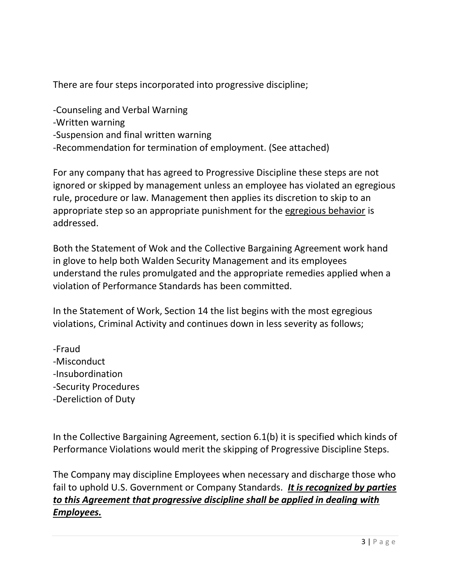There are four steps incorporated into progressive discipline;

- -Counseling and Verbal Warning
- -Written warning
- -Suspension and final written warning
- -Recommendation for termination of employment. (See attached)

For any company that has agreed to Progressive Discipline these steps are not ignored or skipped by management unless an employee has violated an egregious rule, procedure or law. Management then applies its discretion to skip to an appropriate step so an appropriate punishment for the egregious behavior is addressed.

Both the Statement of Wok and the Collective Bargaining Agreement work hand in glove to help both Walden Security Management and its employees understand the rules promulgated and the appropriate remedies applied when a violation of Performance Standards has been committed.

In the Statement of Work, Section 14 the list begins with the most egregious violations, Criminal Activity and continues down in less severity as follows;

-Fraud -Misconduct -Insubordination -Security Procedures -Dereliction of Duty

In the Collective Bargaining Agreement, section 6.1(b) it is specified which kinds of Performance Violations would merit the skipping of Progressive Discipline Steps.

The Company may discipline Employees when necessary and discharge those who fail to uphold U.S. Government or Company Standards. It is recognized by parties to this Agreement that progressive discipline shall be applied in dealing with Employees.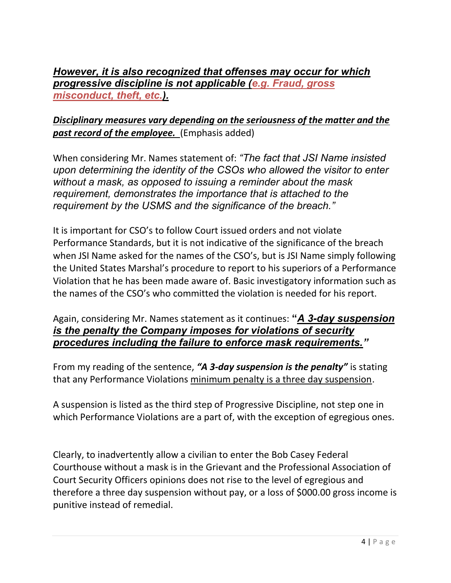However, it is also recognized that offenses may occur for which progressive discipline is not applicable (e.g. Fraud, gross misconduct, theft, etc.).

## Disciplinary measures vary depending on the seriousness of the matter and the past record of the employee. (Emphasis added)

When considering Mr. Names statement of: "The fact that JSI Name insisted upon determining the identity of the CSOs who allowed the visitor to enter without a mask, as opposed to issuing a reminder about the mask requirement, demonstrates the importance that is attached to the requirement by the USMS and the significance of the breach."

It is important for CSO's to follow Court issued orders and not violate Performance Standards, but it is not indicative of the significance of the breach when JSI Name asked for the names of the CSO's, but is JSI Name simply following the United States Marshal's procedure to report to his superiors of a Performance Violation that he has been made aware of. Basic investigatory information such as the names of the CSO's who committed the violation is needed for his report.

## Again, considering Mr. Names statement as it continues: "A 3-day suspension is the penalty the Company imposes for violations of security procedures including the failure to enforce mask requirements."

From my reading of the sentence, "A 3-day suspension is the penalty" is stating that any Performance Violations minimum penalty is a three day suspension.

A suspension is listed as the third step of Progressive Discipline, not step one in which Performance Violations are a part of, with the exception of egregious ones.

Clearly, to inadvertently allow a civilian to enter the Bob Casey Federal Courthouse without a mask is in the Grievant and the Professional Association of Court Security Officers opinions does not rise to the level of egregious and therefore a three day suspension without pay, or a loss of \$000.00 gross income is punitive instead of remedial.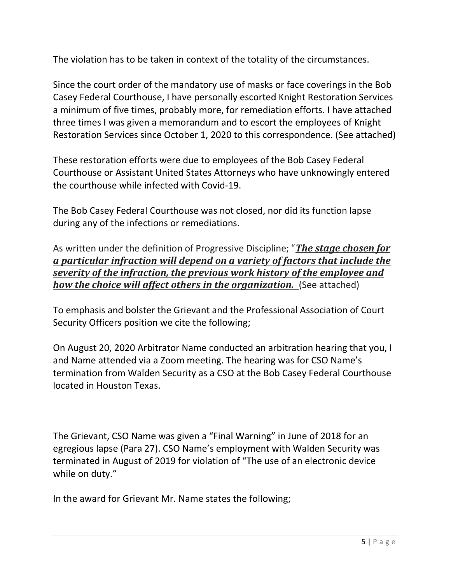The violation has to be taken in context of the totality of the circumstances.

Since the court order of the mandatory use of masks or face coverings in the Bob Casey Federal Courthouse, I have personally escorted Knight Restoration Services a minimum of five times, probably more, for remediation efforts. I have attached three times I was given a memorandum and to escort the employees of Knight Restoration Services since October 1, 2020 to this correspondence. (See attached)

These restoration efforts were due to employees of the Bob Casey Federal Courthouse or Assistant United States Attorneys who have unknowingly entered the courthouse while infected with Covid-19.

The Bob Casey Federal Courthouse was not closed, nor did its function lapse during any of the infections or remediations.

As written under the definition of Progressive Discipline; "The stage chosen for a particular infraction will depend on a variety of factors that include the severity of the infraction, the previous work history of the employee and how the choice will affect others in the organization. (See attached)

To emphasis and bolster the Grievant and the Professional Association of Court Security Officers position we cite the following;

On August 20, 2020 Arbitrator Name conducted an arbitration hearing that you, I and Name attended via a Zoom meeting. The hearing was for CSO Name's termination from Walden Security as a CSO at the Bob Casey Federal Courthouse located in Houston Texas.

The Grievant, CSO Name was given a "Final Warning" in June of 2018 for an egregious lapse (Para 27). CSO Name's employment with Walden Security was terminated in August of 2019 for violation of "The use of an electronic device while on duty."

In the award for Grievant Mr. Name states the following;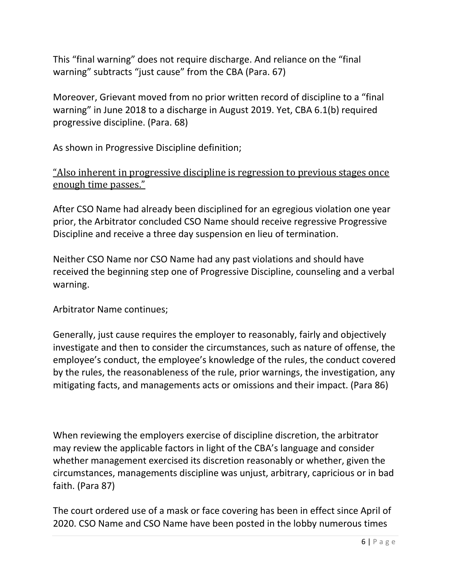This "final warning" does not require discharge. And reliance on the "final warning" subtracts "just cause" from the CBA (Para. 67)

Moreover, Grievant moved from no prior written record of discipline to a "final warning" in June 2018 to a discharge in August 2019. Yet, CBA 6.1(b) required progressive discipline. (Para. 68)

As shown in Progressive Discipline definition;

## "Also inherent in progressive discipline is regression to previous stages once enough time passes."

After CSO Name had already been disciplined for an egregious violation one year prior, the Arbitrator concluded CSO Name should receive regressive Progressive Discipline and receive a three day suspension en lieu of termination.

Neither CSO Name nor CSO Name had any past violations and should have received the beginning step one of Progressive Discipline, counseling and a verbal warning.

Arbitrator Name continues;

Generally, just cause requires the employer to reasonably, fairly and objectively investigate and then to consider the circumstances, such as nature of offense, the employee's conduct, the employee's knowledge of the rules, the conduct covered by the rules, the reasonableness of the rule, prior warnings, the investigation, any mitigating facts, and managements acts or omissions and their impact. (Para 86)

When reviewing the employers exercise of discipline discretion, the arbitrator may review the applicable factors in light of the CBA's language and consider whether management exercised its discretion reasonably or whether, given the circumstances, managements discipline was unjust, arbitrary, capricious or in bad faith. (Para 87)

The court ordered use of a mask or face covering has been in effect since April of 2020. CSO Name and CSO Name have been posted in the lobby numerous times